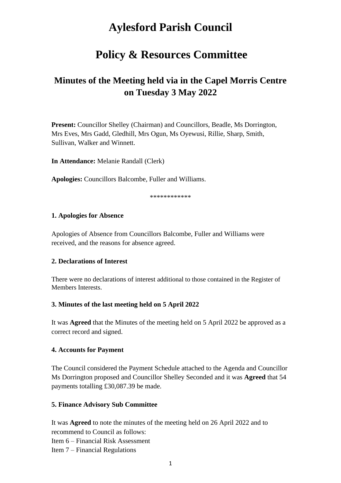# **Aylesford Parish Council**

## **Policy & Resources Committee**

## **Minutes of the Meeting held via in the Capel Morris Centre on Tuesday 3 May 2022**

**Present:** Councillor Shelley (Chairman) and Councillors, Beadle, Ms Dorrington, Mrs Eves, Mrs Gadd, Gledhill, Mrs Ogun, Ms Oyewusi, Rillie, Sharp, Smith, Sullivan, Walker and Winnett.

**In Attendance:** Melanie Randall (Clerk)

**Apologies:** Councillors Balcombe, Fuller and Williams.

\*\*\*\*\*\*\*\*\*\*\*\*

#### **1. Apologies for Absence**

Apologies of Absence from Councillors Balcombe, Fuller and Williams were received, and the reasons for absence agreed.

#### **2. Declarations of Interest**

There were no declarations of interest additional to those contained in the Register of Members Interests.

#### **3. Minutes of the last meeting held on 5 April 2022**

It was **Agreed** that the Minutes of the meeting held on 5 April 2022 be approved as a correct record and signed.

#### **4. Accounts for Payment**

The Council considered the Payment Schedule attached to the Agenda and Councillor Ms Dorrington proposed and Councillor Shelley Seconded and it was **Agreed** that 54 payments totalling £30,087.39 be made.

#### **5. Finance Advisory Sub Committee**

It was **Agreed** to note the minutes of the meeting held on 26 April 2022 and to recommend to Council as follows: Item 6 – Financial Risk Assessment Item 7 – Financial Regulations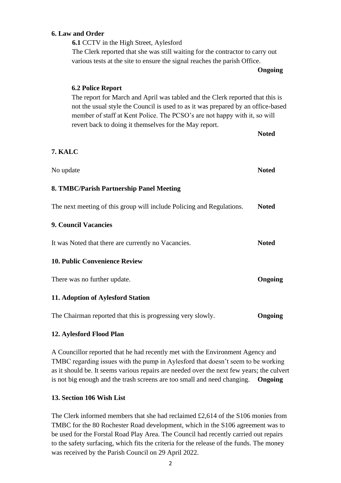#### **6. Law and Order**

**6.1** CCTV in the High Street, Aylesford The Clerk reported that she was still waiting for the contractor to carry out various tests at the site to ensure the signal reaches the parish Office.

**Ongoing**

# **6.2 Police Report** The report for March and April was tabled and the Clerk reported that this is not the usual style the Council is used to as it was prepared by an office-based member of staff at Kent Police. The PCSO's are not happy with it, so will revert back to doing it themselves for the May report. **Noted 7. KALC** No update **Noted 8. TMBC/Parish Partnership Panel Meeting** The next meeting of this group will include Policing and Regulations. **Noted 9. Council Vacancies** It was Noted that there are currently no Vacancies. **Noted 10. Public Convenience Review**  There was no further update. **Ongoing 11. Adoption of Aylesford Station**

The Chairman reported that this is progressing very slowly. **Ongoing**

#### **12. Aylesford Flood Plan**

A Councillor reported that he had recently met with the Environment Agency and TMBC regarding issues with the pump in Aylesford that doesn't seem to be working as it should be. It seems various repairs are needed over the next few years; the culvert is not big enough and the trash screens are too small and need changing. **Ongoing**

#### **13. Section 106 Wish List**

The Clerk informed members that she had reclaimed £2,614 of the S106 monies from TMBC for the 80 Rochester Road development, which in the S106 agreement was to be used for the Forstal Road Play Area. The Council had recently carried out repairs to the safety surfacing, which fits the criteria for the release of the funds. The money was received by the Parish Council on 29 April 2022.